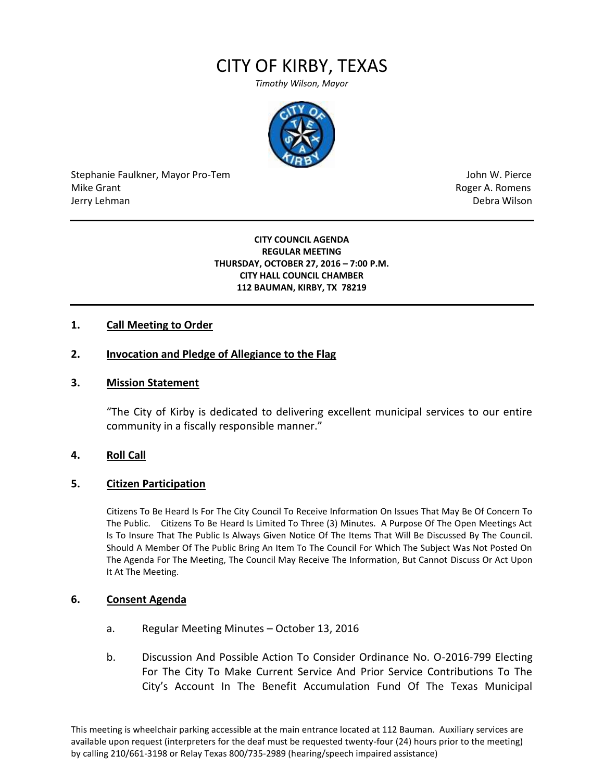# CITY OF KIRBY, TEXAS

*Timothy Wilson, Mayor*



Stephanie Faulkner, Mayor Pro-Tem John W. Pierce Mike Grant **Mike Grant** Roger A. Romens and Allen Roger A. Romens and Allen Roger A. Romens and Allen Roger A. Romens and Allen Roger A. Romens and Allen Roger A. Romens and Allen Roger A. Romens and Allen Roger A. Romens Jerry Lehman Debra Wilson (2008) and the state of the state of the state of the state of the state of the state of the state of the state of the state of the state of the state of the state of the state of the state of the

### **CITY COUNCIL AGENDA REGULAR MEETING THURSDAY, OCTOBER 27, 2016 – 7:00 P.M. CITY HALL COUNCIL CHAMBER 112 BAUMAN, KIRBY, TX 78219**

# **1. Call Meeting to Order**

## **2. Invocation and Pledge of Allegiance to the Flag**

## **3. Mission Statement**

"The City of Kirby is dedicated to delivering excellent municipal services to our entire community in a fiscally responsible manner."

## **4. Roll Call**

#### **5. Citizen Participation**

Citizens To Be Heard Is For The City Council To Receive Information On Issues That May Be Of Concern To The Public. Citizens To Be Heard Is Limited To Three (3) Minutes. A Purpose Of The Open Meetings Act Is To Insure That The Public Is Always Given Notice Of The Items That Will Be Discussed By The Council. Should A Member Of The Public Bring An Item To The Council For Which The Subject Was Not Posted On The Agenda For The Meeting, The Council May Receive The Information, But Cannot Discuss Or Act Upon It At The Meeting.

## **6. Consent Agenda**

- a. Regular Meeting Minutes October 13, 2016
- b. Discussion And Possible Action To Consider Ordinance No. O-2016-799 Electing For The City To Make Current Service And Prior Service Contributions To The City's Account In The Benefit Accumulation Fund Of The Texas Municipal

This meeting is wheelchair parking accessible at the main entrance located at 112 Bauman. Auxiliary services are available upon request (interpreters for the deaf must be requested twenty-four (24) hours prior to the meeting) by calling 210/661-3198 or Relay Texas 800/735-2989 (hearing/speech impaired assistance)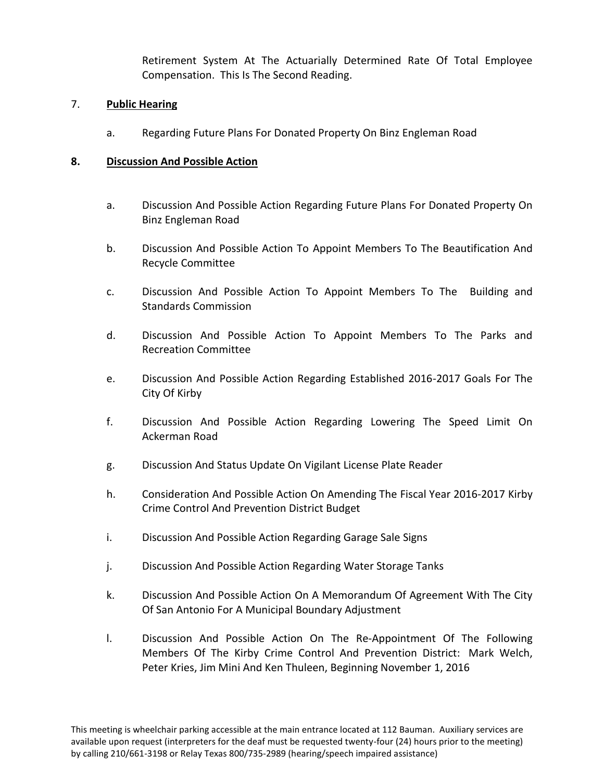Retirement System At The Actuarially Determined Rate Of Total Employee Compensation. This Is The Second Reading.

# 7. **Public Hearing**

a. Regarding Future Plans For Donated Property On Binz Engleman Road

# **8. Discussion And Possible Action**

- a. Discussion And Possible Action Regarding Future Plans For Donated Property On Binz Engleman Road
- b. Discussion And Possible Action To Appoint Members To The Beautification And Recycle Committee
- c. Discussion And Possible Action To Appoint Members To The Building and Standards Commission
- d. Discussion And Possible Action To Appoint Members To The Parks and Recreation Committee
- e. Discussion And Possible Action Regarding Established 2016-2017 Goals For The City Of Kirby
- f. Discussion And Possible Action Regarding Lowering The Speed Limit On Ackerman Road
- g. Discussion And Status Update On Vigilant License Plate Reader
- h. Consideration And Possible Action On Amending The Fiscal Year 2016-2017 Kirby Crime Control And Prevention District Budget
- i. Discussion And Possible Action Regarding Garage Sale Signs
- j. Discussion And Possible Action Regarding Water Storage Tanks
- k. Discussion And Possible Action On A Memorandum Of Agreement With The City Of San Antonio For A Municipal Boundary Adjustment
- l. Discussion And Possible Action On The Re-Appointment Of The Following Members Of The Kirby Crime Control And Prevention District: Mark Welch, Peter Kries, Jim Mini And Ken Thuleen, Beginning November 1, 2016